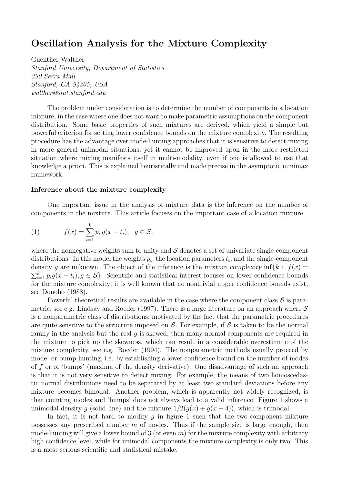# Oscillation Analysis for the Mixture Complexity

Guenther Walther Stanford University, Department of Statistics 390 Serra Mall Stanford, CA 94305, USA walther@stat.stanford.edu

The problem under consideration is to determine the number of components in a location mixture, in the case where one does not want to make parametric assumptions on the component distribution. Some basic properties of such mixtures are derived, which yield a simple but powerful criterion for setting lower confidence bounds on the mixture complexity. The resulting procedure has the advantage over mode-hunting approaches that it is sensitive to detect mixing in more general unimodal situations, yet it cannot be improved upon in the more restricted situation where mixing manifests itself in multi-modality, even if one is allowed to use that knowledge a priori. This is explained heuristically and made precise in the asymptotic minimax framework.

#### Inference about the mixture complexity

One important issue in the analysis of mixture data is the inference on the number of components in the mixture. This article focuses on the important case of a location mixture

(1) 
$$
f(x) = \sum_{i=1}^{k} p_i g(x - t_i), \ g \in \mathcal{S},
$$

where the nonnegative weights sum to unity and  $\mathcal S$  denotes a set of univariate single-component distributions. In this model the weights  $p_i$ , the location parameters  $t_i$ , and the single-component density g are unknown. The object of the inference is the mixture complexity inf $\{k : f(x) =$  $\sum_{i=1}^{k} p_i g(x-t_i), g \in S$ . Scientific and statistical interest focuses on lower confidence bounds for the mixture complexity; it is well known that no nontrivial upper confidence bounds exist, see Donoho (1988).

Powerful theoretical results are available in the case where the component class  $S$  is parametric, see e.g. Lindsay and Roeder (1997). There is a large literature on an approach where  $S$ is a nonparametric class of distributions, motivated by the fact that the parametric procedures are quite sensitive to the structure imposed on  $S$ . For example, if S is taken to be the normal family in the analysis but the real  $q$  is skewed, then many normal components are required in the mixture to pick up the skewness, which can result in a considerable overestimate of the mixture complexity, see e.g. Roeder (1994). The nonparametric methods usually proceed by mode- or bump-hunting, i.e. by establishing a lower confidence bound on the number of modes of f or of 'bumps' (maxima of the density derivative). One disadvantage of such an approach is that it is not very sensitive to detect mixing. For example, the means of two homoscedastic normal distributions need to be separated by at least two standard deviations before any mixture becomes bimodal. Another problem, which is apparently not widely recognized, is that counting modes and 'bumps' does not always lead to a valid inference: Figure 1 shows a unimodal density g (solid line) and the mixture  $1/2(g(x) + g(x - 4))$ , which is trimodal.

In fact, it is not hard to modify  $g$  in figure 1 such that the two-component mixture possesses any prescribed number  $m$  of modes. Thus if the sample size is large enough, then mode-hunting will give a lower bound of 3 (or even  $m$ ) for the mixture complexity with arbitrary high confidence level, while for unimodal components the mixture complexity is only two. This is a most serious scientific and statistical mistake.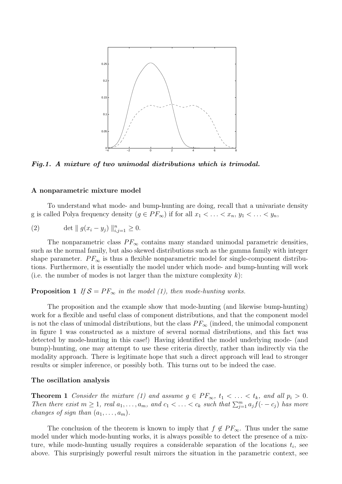

Fig.1. A mixture of two unimodal distributions which is trimodal.

### A nonparametric mixture model

To understand what mode- and bump-hunting are doing, recall that a univariate density g is called Polya frequency density  $(g \in PF_{\infty})$  if for all  $x_1 < \ldots < x_n$ ,  $y_1 < \ldots < y_n$ ,

(2) 
$$
\det \| g(x_i - y_j) \|_{i,j=1}^n \ge 0.
$$

The nonparametric class  $PF_{\infty}$  contains many standard unimodal parametric densities, such as the normal family, but also skewed distributions such as the gamma family with integer shape parameter.  $PF_{\infty}$  is thus a flexible nonparametric model for single-component distributions. Furthermore, it is essentially the model under which mode- and bump-hunting will work (i.e. the number of modes is not larger than the mixture complexity  $k$ ):

### **Proposition 1** If  $S = PF_{\infty}$  in the model (1), then mode-hunting works.

The proposition and the example show that mode-hunting (and likewise bump-hunting) work for a flexible and useful class of component distributions, and that the component model is not the class of unimodal distributions, but the class  $PF_{\infty}$  (indeed, the unimodal component in figure 1 was constructed as a mixture of several normal distributions, and this fact was detected by mode-hunting in this case!) Having identified the model underlying mode- (and bump)-hunting, one may attempt to use these criteria directly, rather than indirectly via the modality approach. There is legitimate hope that such a direct approach will lead to stronger results or simpler inference, or possibly both. This turns out to be indeed the case.

### The oscillation analysis

**Theorem 1** Consider the mixture (1) and assume  $g \in PF_{\infty}, t_1 < \ldots < t_k$ , and all  $p_i > 0$ . Then there exist  $m \geq 1$ , real  $a_1, \ldots, a_m$ , and  $c_1 < \ldots < c_k$  such that  $\sum_{j=1}^m a_j f(\cdot - c_j)$  has more changes of sign than  $(a_1, \ldots, a_m)$ .

The conclusion of the theorem is known to imply that  $f \notin PF_{\infty}$ . Thus under the same model under which mode-hunting works, it is always possible to detect the presence of a mixture, while mode-hunting usually requires a considerable separation of the locations  $t_i$ , see above. This surprisingly powerful result mirrors the situation in the parametric context, see